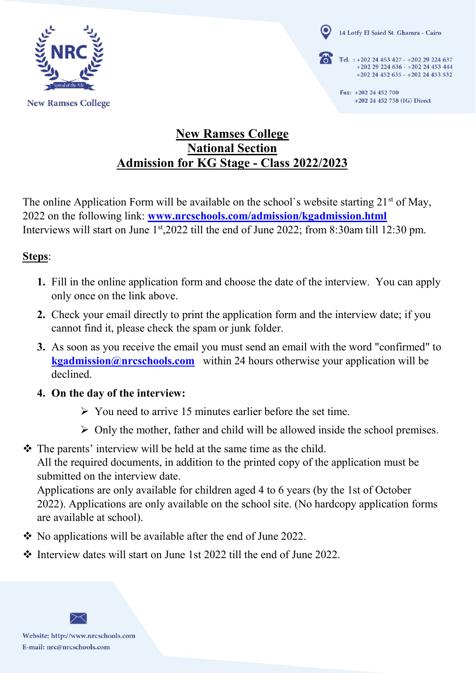

**New Ramses College** 

14 Lotfy El Saied St. Ghamra - Cairo

Tel. : +202 24 453 427 - +202 29 224 637 +202 29 224 636 - +202 24 453 444 +202 24 452 635 - +202 24 453 532

> Fax: +202 24 452 700 +202 24 452 758 (IG) Direct

# **New Ramses College National Section Admission for KG Stage - Class 2022/2023**

The online Application Form will be available on the school's website starting  $21<sup>st</sup>$  of May, 2022 on the following link: **[www.nrcschools.com/admission/kgadmission.html](http://www.nrcschools.com/admission/kgadmission.html)** Interviews will start on June 1<sup>st</sup>,2022 till the end of June 2022; from 8:30am till 12:30 pm.

## **Steps**:

- **1.** Fill in the online application form and choose the date of the interview. You can apply only once on the link above.
- **2.** Check your email directly to print the application form and the interview date; if you cannot find it, please check the spam or junk folder.
- **3.** As soon as you receive the email you must send an email with the word "confirmed" to **[kgadmission@nrcschools.com](mailto:kgadmission@nrcschools.com)** within 24 hours otherwise your application will be declined.
- **4. On the day of the interview:**
	- $\triangleright$  You need to arrive 15 minutes earlier before the set time.
	- $\triangleright$  Only the mother, father and child will be allowed inside the school premises.

• The parents' interview will be held at the same time as the child. All the required documents, in addition to the printed copy of the application must be submitted on the interview date.

Applications are only available for children aged 4 to 6 years (by the 1st of October 2022). Applications are only available on the school site. (No hardcopy application forms are available at school).

- No applications will be available after the end of June 2022.
- Interview dates will start on June 1st 2022 till the end of June 2022.



Website: http://www.nrcschools.com E-mail: nrc@nrcschools.com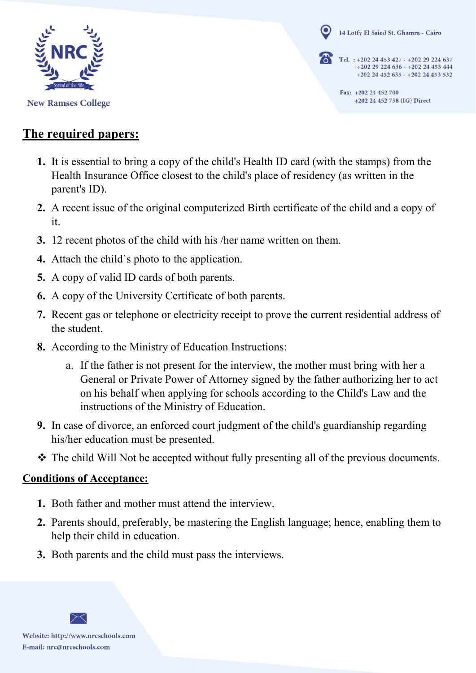

**New Ramses College** 

14 Lotfy El Saied St. Ghamra - Cairo

Tel. : +202 24 453 427 - +202 29 224 637 +202 29 224 636 - +202 24 453 444 +202 24 452 635 - +202 24 453 532

> Fax: +202 24 452 700 +202 24 452 758 (IG) Direct

## **The required papers:**

- **1.** It is essential to bring a copy of the child's Health ID card (with the stamps) from the Health Insurance Office closest to the child's place of residency (as written in the parent's ID).
- **2.** A recent issue of the original computerized Birth certificate of the child and a copy of it.
- **3.** 12 recent photos of the child with his /her name written on them.
- **4.** Attach the child`s photo to the application.
- **5.** A copy of valid ID cards of both parents.
- **6.** A copy of the University Certificate of both parents.
- **7.** Recent gas or telephone or electricity receipt to prove the current residential address of the student.
- **8.** According to the Ministry of Education Instructions:
	- a. If the father is not present for the interview, the mother must bring with her a General or Private Power of Attorney signed by the father authorizing her to act on his behalf when applying for schools according to the Child's Law and the instructions of the Ministry of Education.
- **9.** In case of divorce, an enforced court judgment of the child's guardianship regarding his/her education must be presented.
- $\hat{\mathbf{v}}$  The child Will Not be accepted without fully presenting all of the previous documents.

## **Conditions of Acceptance:**

- **1.** Both father and mother must attend the interview.
- **2.** Parents should, preferably, be mastering the English language; hence, enabling them to help their child in education.
- **3.** Both parents and the child must pass the interviews.

Website: http://www.nrcschools.com E-mail: nrc@nrcschools.com